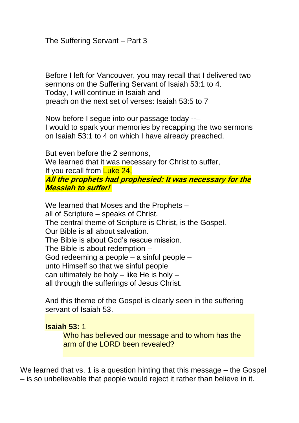Before I left for Vancouver, you may recall that I delivered two sermons on the Suffering Servant of Isaiah 53:1 to 4. Today, I will continue in Isaiah and preach on the next set of verses: Isaiah 53:5 to 7

Now before I segue into our passage today --– I would to spark your memories by recapping the two sermons on Isaiah 53:1 to 4 on which I have already preached.

But even before the 2 sermons, We learned that it was necessary for Christ to suffer, If you recall from Luke 24, **All the prophets had prophesied: It was necessary for the Messiah to suffer!**

We learned that Moses and the Prophets – all of Scripture – speaks of Christ. The central theme of Scripture is Christ, is the Gospel. Our Bible is all about salvation. The Bible is about God's rescue mission. The Bible is about redemption -- God redeeming a people – a sinful people – unto Himself so that we sinful people can ultimately be holy  $-$  like He is holy  $$ all through the sufferings of Jesus Christ.

And this theme of the Gospel is clearly seen in the suffering servant of Isaiah 53.

# **Isaiah 53:** 1

Who has believed our message and to whom has the arm of the LORD been revealed?

We learned that vs. 1 is a question hinting that this message – the Gospel – is so unbelievable that people would reject it rather than believe in it.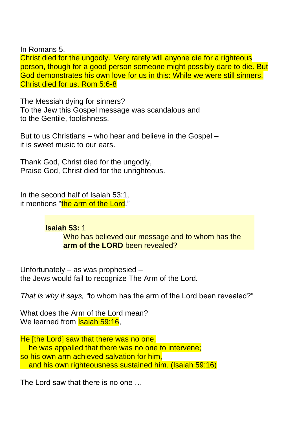In Romans 5,

Christ died for the ungodly. Very rarely will anyone die for a righteous person, though for a good person someone might possibly dare to die. But God demonstrates his own love for us in this: While we were still sinners, Christ died for us. Rom 5:6-8

The Messiah dying for sinners? To the Jew this Gospel message was scandalous and to the Gentile, foolishness.

But to us Christians – who hear and believe in the Gospel – it is sweet music to our ears.

Thank God, Christ died for the ungodly, Praise God, Christ died for the unrighteous.

In the second half of Isaiah 53:1, it mentions "the arm of the Lord."

**Isaiah 53:** 1

Who has believed our message and to whom has the **arm of the LORD** been revealed?

Unfortunately – as was prophesied – the Jews would fail to recognize The Arm of the Lord*.* 

*That is why it says, "*to whom has the arm of the Lord been revealed?"

What does the Arm of the Lord mean? We learned from **Isaiah 59:16**.

He [the Lord] saw that there was no one, he was appalled that there was no one to intervene; so his own arm achieved salvation for him, and his own righteousness sustained him. (Isaiah 59:16)

The Lord saw that there is no one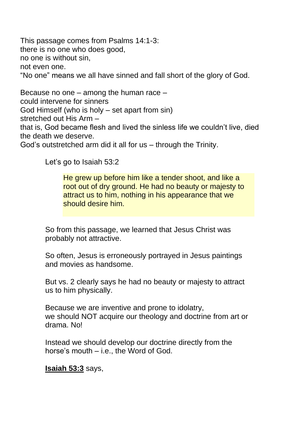This passage comes from Psalms 14:1-3: there is no one who does good, no one is without sin, not even one. "No one" means we all have sinned and fall short of the glory of God.

Because no one – among the human race – could intervene for sinners God Himself (who is holy – set apart from sin) stretched out His Arm – that is, God became flesh and lived the sinless life we couldn't live, died the death we deserve.

God's outstretched arm did it all for us – through the Trinity.

Let's go to Isaiah 53:2

He grew up before him like a tender shoot, and like a root out of dry ground. He had no beauty or majesty to attract us to him, nothing in his appearance that we should desire him.

So from this passage, we learned that Jesus Christ was probably not attractive.

So often, Jesus is erroneously portrayed in Jesus paintings and movies as handsome.

But vs. 2 clearly says he had no beauty or majesty to attract us to him physically.

Because we are inventive and prone to idolatry, we should NOT acquire our theology and doctrine from art or drama. No!

Instead we should develop our doctrine directly from the horse's mouth – i.e., the Word of God.

# **Isaiah 53:3** says,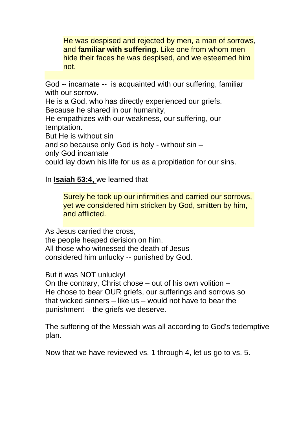He was despised and rejected by men, a man of sorrows, and **familiar with suffering**. Like one from whom men hide their faces he was despised, and we esteemed him not.

God -- incarnate -- is acquainted with our suffering, familiar with our sorrow.

He is a God, who has directly experienced our griefs. Because he shared in our humanity,

He empathizes with our weakness, our suffering, our temptation.

But He is without sin

and so because only God is holy - without sin –

only God incarnate

could lay down his life for us as a propitiation for our sins.

In **Isaiah 53:4,** we learned that

Surely he took up our infirmities and carried our sorrows, yet we considered him stricken by God, smitten by him, and afflicted.

As Jesus carried the cross, the people heaped derision on him. All those who witnessed the death of Jesus considered him unlucky -- punished by God.

But it was NOT unlucky!

On the contrary, Christ chose – out of his own volition – He chose to bear OUR griefs, our sufferings and sorrows so that wicked sinners – like us – would not have to bear the punishment – the griefs we deserve.

The suffering of the Messiah was all according to God's tedemptive plan.

Now that we have reviewed vs. 1 through 4, let us go to vs. 5.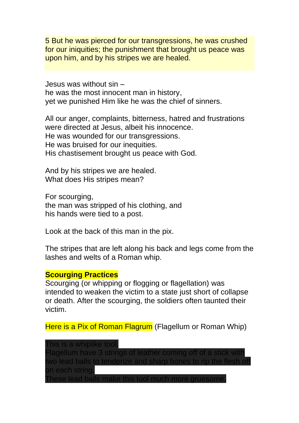5 But he was pierced for our transgressions, he was crushed for our iniquities; the punishment that brought us peace was upon him, and by his stripes we are healed.

Jesus was without sin – he was the most innocent man in history, yet we punished Him like he was the chief of sinners.

All our anger, complaints, bitterness, hatred and frustrations were directed at Jesus, albeit his innocence. He was wounded for our transgressions. He was bruised for our inequities. His chastisement brought us peace with God.

And by his stripes we are healed. What does His stripes mean?

For scourging, the man was stripped of his clothing, and his hands were tied to a post.

Look at the back of this man in the pix.

The stripes that are left along his back and legs come from the lashes and welts of a Roman whip.

### **Scourging Practices**

Scourging (or whipping or flogging or flagellation) was intended to weaken the victim to a state just short of collapse or death. After the scourging, the soldiers often taunted their victim.

Here is a Pix of Roman Flagrum (Flagellum or Roman Whip)

This is a whiplike tool. Flagellum have 3 strings of leather coming off of a stick wit wo lead balls to tenderize and sharp bones on each string.

These lead balls make this tool much more gruesome.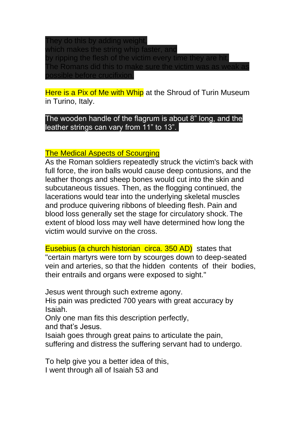They do this by adding weight, which makes the string whip faster, and by ripping the flesh of the victim every time they are hit. The Romans did this to make sure the victim was possible before crucifixion.

Here is a Pix of Me with Whip at the Shroud of Turin Museum in Turino, Italy.

The wooden handle of the flagrum is about 8" long, and the leather strings can vary from 11" to 13".

## The Medical Aspects of Scourging

As the Roman soldiers repeatedly struck the victim's back with full force, the iron balls would cause deep contusions, and the leather thongs and sheep bones would cut into the skin and subcutaneous tissues. Then, as the flogging continued, the lacerations would tear into the underlying skeletal muscles and produce quivering ribbons of bleeding flesh. Pain and blood loss generally set the stage for circulatory shock. The extent of blood loss may well have determined how long the victim would survive on the cross.

Eusebius (a church historian circa. 350 AD) states that "certain martyrs were torn by scourges down to deep-seated vein and arteries, so that the hidden contents of their bodies, their entrails and organs were exposed to sight."

Jesus went through such extreme agony.

His pain was predicted 700 years with great accuracy by Isaiah.

Only one man fits this description perfectly, and that's Jesus.

Isaiah goes through great pains to articulate the pain, suffering and distress the suffering servant had to undergo.

To help give you a better idea of this, I went through all of Isaiah 53 and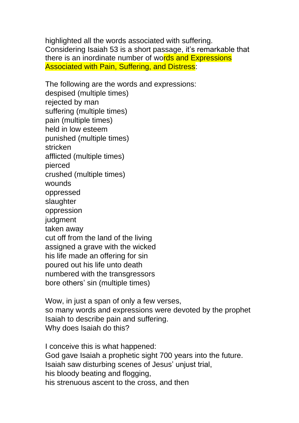highlighted all the words associated with suffering. Considering Isaiah 53 is a short passage, it's remarkable that there is an inordinate number of words and Expressions Associated with Pain, Suffering, and Distress:

The following are the words and expressions: despised (multiple times) rejected by man suffering (multiple times) pain (multiple times) held in low esteem punished (multiple times) stricken afflicted (multiple times) pierced crushed (multiple times) wounds oppressed slaughter oppression judgment taken away cut off from the land of the living assigned a grave with the wicked his life made an offering for sin poured out his life unto death numbered with the transgressors bore others' sin (multiple times)

Wow, in just a span of only a few verses, so many words and expressions were devoted by the prophet Isaiah to describe pain and suffering. Why does Isaiah do this?

I conceive this is what happened: God gave Isaiah a prophetic sight 700 years into the future. Isaiah saw disturbing scenes of Jesus' unjust trial, his bloody beating and flogging, his strenuous ascent to the cross, and then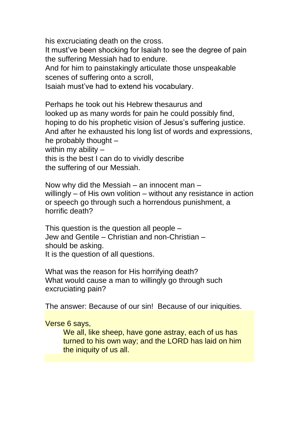his excruciating death on the cross.

It must've been shocking for Isaiah to see the degree of pain the suffering Messiah had to endure.

And for him to painstakingly articulate those unspeakable scenes of suffering onto a scroll,

Isaiah must've had to extend his vocabulary.

Perhaps he took out his Hebrew thesaurus and looked up as many words for pain he could possibly find, hoping to do his prophetic vision of Jesus's suffering justice. And after he exhausted his long list of words and expressions, he probably thought – within my ability this is the best I can do to vividly describe the suffering of our Messiah.

Now why did the Messiah – an innocent man – willingly – of His own volition – without any resistance in action or speech go through such a horrendous punishment, a horrific death?

This question is the question all people – Jew and Gentile – Christian and non-Christian – should be asking. It is the question of all questions.

What was the reason for His horrifying death? What would cause a man to willingly go through such excruciating pain?

The answer: Because of our sin! Because of our iniquities.

Verse 6 says,

We all, like sheep, have gone astray, each of us has turned to his own way; and the LORD has laid on him the iniquity of us all.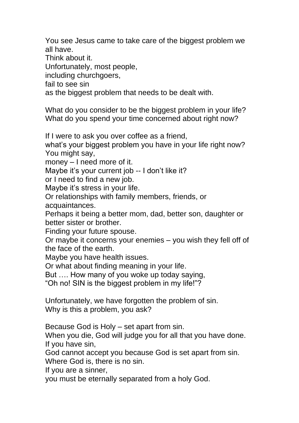You see Jesus came to take care of the biggest problem we all have.

Think about it.

Unfortunately, most people,

including churchgoers,

fail to see sin

as the biggest problem that needs to be dealt with.

What do you consider to be the biggest problem in your life? What do you spend your time concerned about right now?

If I were to ask you over coffee as a friend,

what's your biggest problem you have in your life right now? You might say,

money – I need more of it.

Maybe it's your current job -- I don't like it?

or I need to find a new job.

Maybe it's stress in your life.

Or relationships with family members, friends, or acquaintances.

Perhaps it being a better mom, dad, better son, daughter or better sister or brother.

Finding your future spouse.

Or maybe it concerns your enemies – you wish they fell off of the face of the earth.

Maybe you have health issues.

Or what about finding meaning in your life.

But …. How many of you woke up today saying,

"Oh no! SIN is the biggest problem in my life!"?

Unfortunately, we have forgotten the problem of sin. Why is this a problem, you ask?

Because God is Holy – set apart from sin.

When you die, God will judge you for all that you have done. If you have sin,

God cannot accept you because God is set apart from sin.

Where God is, there is no sin.

If you are a sinner,

you must be eternally separated from a holy God.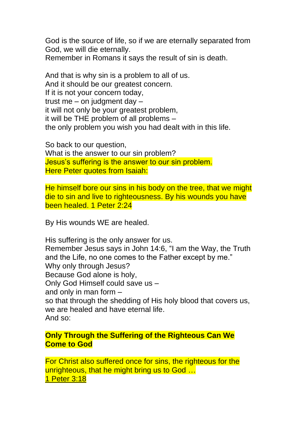God is the source of life, so if we are eternally separated from God, we will die eternally.

Remember in Romans it says the result of sin is death.

And that is why sin is a problem to all of us. And it should be our greatest concern. If it is not your concern today, trust me – on judgment day – it will not only be your greatest problem, it will be THE problem of all problems – the only problem you wish you had dealt with in this life.

So back to our question, What is the answer to our sin problem? Jesus's suffering is the answer to our sin problem. Here Peter quotes from Isaiah:

He himself bore our sins in his body on the tree, that we might die to sin and live to righteousness. By his wounds you have been healed. 1 Peter 2:24

By His wounds WE are healed.

His suffering is the only answer for us. Remember Jesus says in John 14:6, "I am the Way, the Truth and the Life, no one comes to the Father except by me." Why only through Jesus? Because God alone is holy, Only God Himself could save us – and only in man form – so that through the shedding of His holy blood that covers us, we are healed and have eternal life. And so:

## **Only Through the Suffering of the Righteous Can We Come to God**

For Christ also suffered once for sins, the righteous for the unrighteous, that he might bring us to God ... 1 Peter 3:18